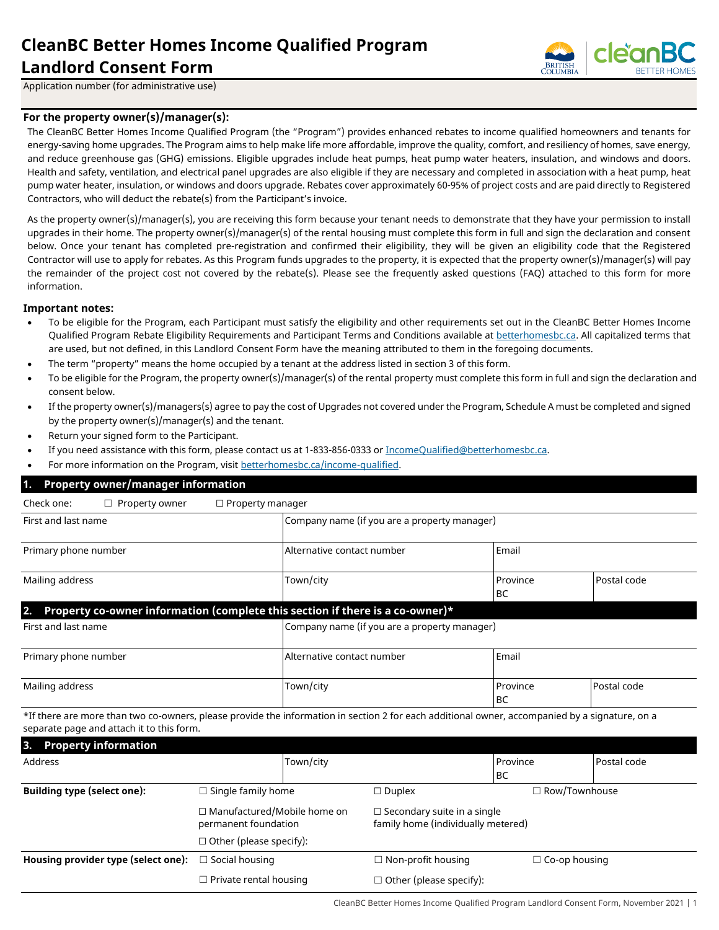# **CleanBC Better Homes Income Qualified Program Landlord Consent Form**



Application number (for administrative use)

#### **For the property owner(s)/manager(s):**

The CleanBC Better Homes Income Qualified Program (the "Program") provides enhanced rebates to income qualified homeowners and tenants for energy-saving home upgrades. The Program aims to help make life more affordable, improve the quality, comfort, and resiliency of homes, save energy, and reduce greenhouse gas (GHG) emissions. Eligible upgrades include heat pumps, heat pump water heaters, insulation, and windows and doors. Health and safety, ventilation, and electrical panel upgrades are also eligible if they are necessary and completed in association with a heat pump, heat pump water heater, insulation, or windows and doors upgrade. Rebates cover approximately 60-95% of project costs and are paid directly to Registered Contractors, who will deduct the rebate(s) from the Participant's invoice.

As the property owner(s)/manager(s), you are receiving this form because your tenant needs to demonstrate that they have your permission to install upgrades in their home. The property owner(s)/manager(s) of the rental housing must complete this form in full and sign the declaration and consent below. Once your tenant has completed pre-registration and confirmed their eligibility, they will be given an eligibility code that the Registered Contractor will use to apply for rebates. As this Program funds upgrades to the property, it is expected that the property owner(s)/manager(s) will pay the remainder of the project cost not covered by the rebate(s). Please see the frequently asked questions (FAQ) attached to this form for more information.

#### **Important notes:**

- To be eligible for the Program, each Participant must satisfy the eligibility and other requirements set out in the [CleanBC](https://betterhomesbc.ca/wp-content/uploads/2020/04/HRR_CleanBC_BetterHomes-ProgramRequirements-April_01_2020.pdf) Better Homes Income Qualified Program Rebate Eligibility Requirements and Participant Terms and Conditions available a[t betterhomesbc.ca.](https://www.betterhomesbc.ca/) All capitalized terms that are used, but not defined, in this Landlord Consent Form have the meaning attributed to them in the foregoing documents.
- The term "property" means the home occupied by a tenant at the address listed in section 3 of this form.
- To be eligible for the Program, the property owner(s)/manager(s) of the rental property must complete this form in full and sign the declaration and consent below.
- If the property owner(s)/managers(s) agree to pay the cost of Upgrades not covered under the Program, Schedule A must be completed and signed by the property owner(s)/manager(s) and the tenant.
- Return your signed form to the Participant.
- If you need assistance with this form, please contact us at 1-833-856-0333 o[r IncomeQualified@betterhomesbc.ca.](mailto:IncomeQualified@betterhomesbc.ca)
- For more information on the Program, visit [betterhomesbc.ca/income-qualified.](https://www.betterhomesbc.ca/income-qualified)

| <b>Property owner/manager information</b><br>1.                                     |                                              |                       |             |  |  |  |
|-------------------------------------------------------------------------------------|----------------------------------------------|-----------------------|-------------|--|--|--|
| Check one:<br>$\Box$ Property owner<br>$\Box$ Property manager                      |                                              |                       |             |  |  |  |
| First and last name                                                                 | Company name (if you are a property manager) |                       |             |  |  |  |
| Primary phone number                                                                | Alternative contact number                   | Email                 |             |  |  |  |
| Mailing address                                                                     | Town/city                                    | Province<br><b>BC</b> | Postal code |  |  |  |
| Property co-owner information (complete this section if there is a co-owner)*<br>2. |                                              |                       |             |  |  |  |
| First and last name                                                                 | Company name (if you are a property manager) |                       |             |  |  |  |
| Primary phone number                                                                | Alternative contact number                   | Email                 |             |  |  |  |
| Mailing address                                                                     | Town/city                                    | Province<br>BC        | Postal code |  |  |  |

\*If there are more than two co-owners, please provide the information in section 2 for each additional owner, accompanied by a signature, on a separate page and attach it to this form.

| 3. Property information                                         |           |                                                                          |                           |             |
|-----------------------------------------------------------------|-----------|--------------------------------------------------------------------------|---------------------------|-------------|
| Address                                                         | Town/city |                                                                          | Province                  | Postal code |
|                                                                 |           |                                                                          | <b>IBC</b>                |             |
| <b>Building type (select one):</b><br>$\Box$ Single family home |           | $\Box$ Duplex                                                            | $\sqsupset$ Row/Townhouse |             |
| $\Box$ Manufactured/Mobile home on<br>permanent foundation      |           | $\Box$ Secondary suite in a single<br>family home (individually metered) |                           |             |
| $\Box$ Other (please specify):                                  |           |                                                                          |                           |             |
| Housing provider type (select one):<br>$\Box$ Social housing    |           | $\Box$ Non-profit housing                                                | $\Box$ Co-op housing      |             |
| $\Box$ Private rental housing                                   |           | $\Box$ Other (please specify):                                           |                           |             |

CleanBC Better Homes Income Qualified Program Landlord Consent Form, November 2021 | 1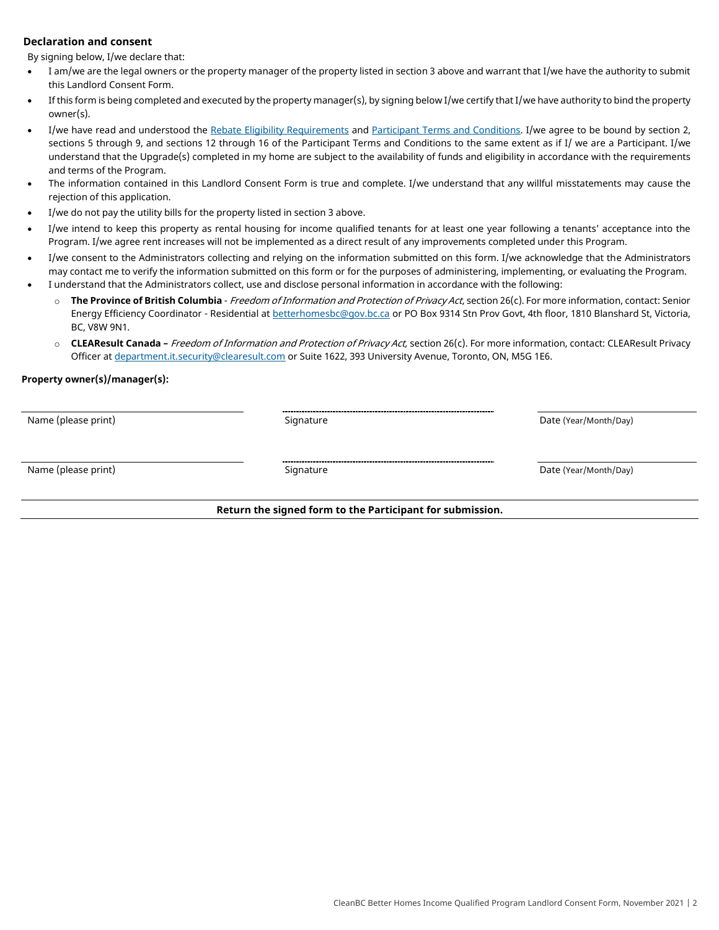#### **Declaration and consent**

By signing below, I/we declare that:

- I am/we are the legal owners or the property manager of the property listed in section 3 above and warrant that I/we have the authority to submit this Landlord Consent Form.
- If this form is being completed and executed by the property manager(s), by signing below I/we certify that I/we have authority to bind the property owner(s).
- I/we have read and understood the [Rebate Eligibility Requirements](https://betterhomesbc.ca/income-qualified-requirements) an[d Participant Terms and Conditions.](https://betterhomesbc.ca/income-qualified-participant-terms) I/we agree to be bound by section 2, sections 5 through 9, and sections 12 through 16 of the Participant Terms and Conditions to the same extent as if I/ we are a Participant. I/we understand that the Upgrade(s) completed in my home are subject to the availability of funds and eligibility in accordance with the requirements and terms of the Program.
- The information contained in this Landlord Consent Form is true and complete. I/we understand that any willful misstatements may cause the rejection of this application.
- I/we do not pay the utility bills for the property listed in section 3 above.
- I/we intend to keep this property as rental housing for income qualified tenants for at least one year following a tenants' acceptance into the Program. I/we agree rent increases will not be implemented as a direct result of any improvements completed under this Program.
- I/we consent to the Administrators collecting and relying on the information submitted on this form. I/we acknowledge that the Administrators may contact me to verify the information submitted on this form or for the purposes of administering, implementing, or evaluating the Program. • I understand that the Administrators collect, use and disclose personal information in accordance with the following:
	- o **The Province of British Columbia** Freedom of Information and Protection of Privacy Act, section 26(c). For more information, contact: Senior Energy Efficiency Coordinator - Residential a[t betterhomesbc@gov.bc.ca](mailto:betterhomesbc@gov.bc.ca) or PO Box 9314 Stn Prov Govt, 4th floor, 1810 Blanshard St, Victoria, BC, V8W 9N1.
		- o **CLEAResult Canada –** Freedom of Information and Protection of Privacy Act, section 26(c). For more information, contact: CLEAResult Privacy Officer a[t department.it.security@clearesult.com](mailto:department.it.security@clearesult.com) or Suite 1622, 393 University Avenue, Toronto, ON, M5G 1E6.

#### **Property owner(s)/manager(s):**

Name (please print) and the Community Signature Signature Community Community Date (Year/Month/Day)

Name (please print) and the Community Signature Signature Community Community Date (Year/Month/Day)

#### **Return the signed form to the Participant for submission.**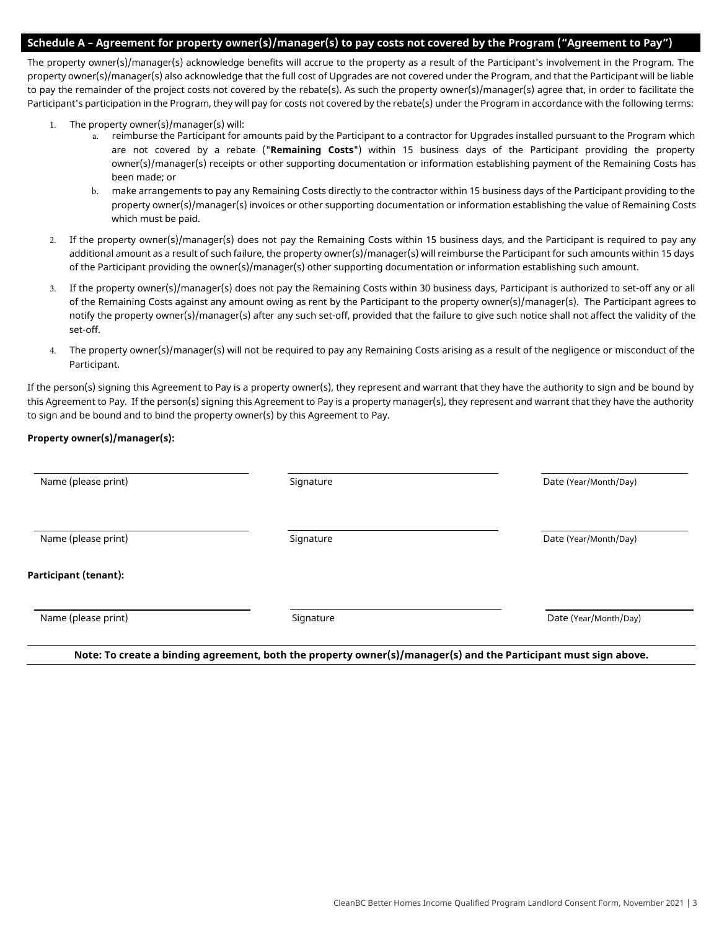#### **Schedule A – Agreement for property owner(s)/manager(s) to pay costs not covered by the Program ("Agreement to Pay")**

The property owner(s)/manager(s) acknowledge benefits will accrue to the property as a result of the Participant's involvement in the Program. The property owner(s)/manager(s) also acknowledge that the full cost of Upgrades are not covered under the Program, and that the Participant will be liable to pay the remainder of the project costs not covered by the rebate(s). As such the property owner(s)/manager(s) agree that, in order to facilitate the Participant's participation in the Program, they will pay for costs not covered by the rebate(s) under the Program in accordance with the following terms:

- 1. The property owner(s)/manager(s) will:
	- a. reimburse the Participant for amounts paid by the Participant to a contractor for Upgrades installed pursuant to the Program which are not covered by a rebate ("**Remaining Costs**") within 15 business days of the Participant providing the property owner(s)/manager(s) receipts or other supporting documentation or information establishing payment of the Remaining Costs has been made; or
	- b. make arrangements to pay any Remaining Costs directly to the contractor within 15 business days of the Participant providing to the property owner(s)/manager(s) invoices or other supporting documentation or information establishing the value of Remaining Costs which must be paid.
- 2. If the property owner(s)/manager(s) does not pay the Remaining Costs within 15 business days, and the Participant is required to pay any additional amount as a result of such failure, the property owner(s)/manager(s) will reimburse the Participant for such amounts within 15 days of the Participant providing the owner(s)/manager(s) other supporting documentation or information establishing such amount.
- 3. If the property owner(s)/manager(s) does not pay the Remaining Costs within 30 business days, Participant is authorized to set-off any or all of the Remaining Costs against any amount owing as rent by the Participant to the property owner(s)/manager(s). The Participant agrees to notify the property owner(s)/manager(s) after any such set-off, provided that the failure to give such notice shall not affect the validity of the set-off.
- 4. The property owner(s)/manager(s) will not be required to pay any Remaining Costs arising as a result of the negligence or misconduct of the Participant.

If the person(s) signing this Agreement to Pay is a property owner(s), they represent and warrant that they have the authority to sign and be bound by this Agreement to Pay. If the person(s) signing this Agreement to Pay is a property manager(s), they represent and warrant that they have the authority to sign and be bound and to bind the property owner(s) by this Agreement to Pay.

#### **Property owner(s)/manager(s):**

| Signature | Date (Year/Month/Day) |
|-----------|-----------------------|
| Signature | Date (Year/Month/Day) |
|           |                       |
| Signature | Date (Year/Month/Day) |
|           |                       |

**Note: To create a binding agreement, both the property owner(s)/manager(s) and the Participant must sign above.**